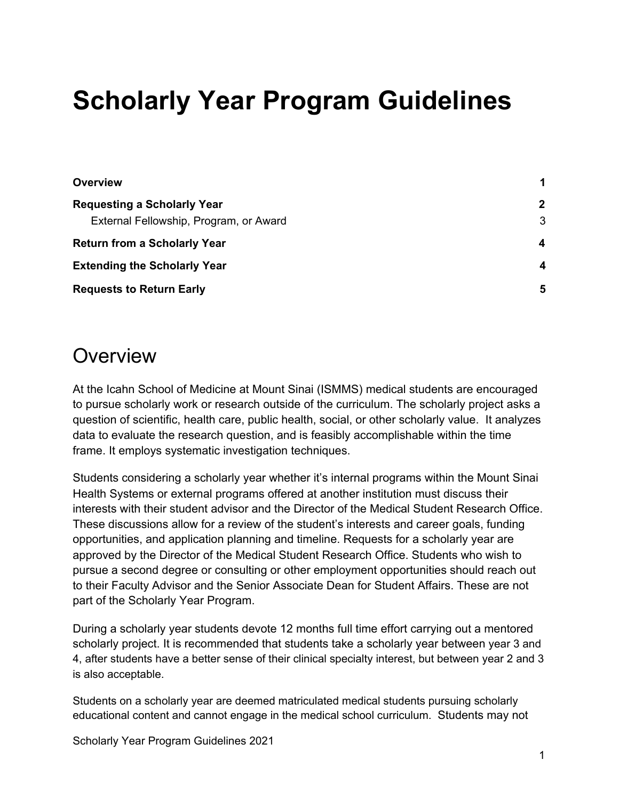# **Scholarly Year Program Guidelines**

| <b>Overview</b>                        | 1                       |
|----------------------------------------|-------------------------|
| <b>Requesting a Scholarly Year</b>     | $\mathbf{2}$            |
| External Fellowship, Program, or Award | 3                       |
| <b>Return from a Scholarly Year</b>    | $\boldsymbol{4}$        |
| <b>Extending the Scholarly Year</b>    | $\overline{\mathbf{4}}$ |
| <b>Requests to Return Early</b>        | 5                       |

### <span id="page-0-0"></span>**Overview**

At the Icahn School of Medicine at Mount Sinai (ISMMS) medical students are encouraged to pursue scholarly work or research outside of the curriculum. The scholarly project asks a question of scientific, health care, public health, social, or other scholarly value. It analyzes data to evaluate the research question, and is feasibly accomplishable within the time frame. It employs systematic investigation techniques.

Students considering a scholarly year whether it's internal programs within the Mount Sinai Health Systems or external programs offered at another institution must discuss their interests with their student advisor and the Director of the Medical Student Research Office. These discussions allow for a review of the student's interests and career goals, funding opportunities, and application planning and timeline. Requests for a scholarly year are approved by the Director of the Medical Student Research Office. Students who wish to pursue a second degree or consulting or other employment opportunities should reach out to their Faculty Advisor and the Senior Associate Dean for Student Affairs. These are not part of the Scholarly Year Program.

During a scholarly year students devote 12 months full time effort carrying out a mentored scholarly project. It is recommended that students take a scholarly year between year 3 and 4, after students have a better sense of their clinical specialty interest, but between year 2 and 3 is also acceptable.

Students on a scholarly year are deemed matriculated medical students pursuing scholarly educational content and cannot engage in the medical school curriculum. Students may not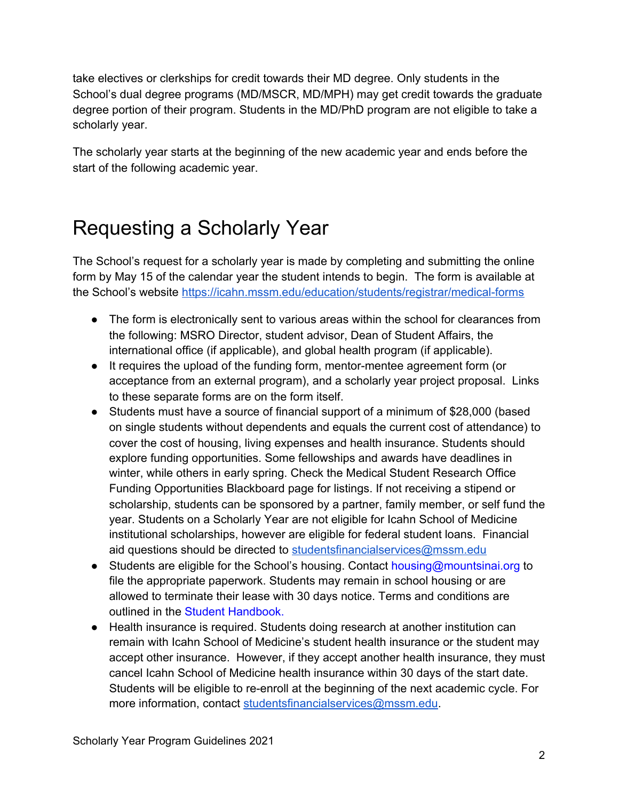take electives or clerkships for credit towards their MD degree. Only students in the School's dual degree programs (MD/MSCR, MD/MPH) may get credit towards the graduate degree portion of their program. Students in the MD/PhD program are not eligible to take a scholarly year.

The scholarly year starts at the beginning of the new academic year and ends before the start of the following academic year.

### <span id="page-1-0"></span>Requesting a Scholarly Year

The School's request for a scholarly year is made by completing and submitting the online form by May 15 of the calendar year the student intends to begin. The form is available at the School's website <https://icahn.mssm.edu/education/students/registrar/medical-forms>

- The form is electronically sent to various areas within the school for clearances from the following: MSRO Director, student advisor, Dean of Student Affairs, the international office (if applicable), and global health program (if applicable).
- It requires the upload of the funding form, mentor-mentee agreement form (or acceptance from an external program), and a scholarly year project proposal. Links to these separate forms are on the form itself.
- Students must have a source of financial support of a minimum of \$28,000 (based on single students without dependents and equals the current cost of attendance) to cover the cost of housing, living expenses and health insurance. Students should explore funding opportunities. Some fellowships and awards have deadlines in winter, while others in early spring. Check the Medical Student Research Office Funding Opportunities Blackboard page for listings. If not receiving a stipend or scholarship, students can be sponsored by a partner, family member, or self fund the year. Students on a Scholarly Year are not eligible for Icahn School of Medicine institutional scholarships, however are eligible for federal student loans. Financial aid questions should be directed to [studentsfinancialservices@mssm.edu](mailto:studentsfinancialservices@mssm.edu)
- Students are eligible for the School's housing. Contact housing@mountsinai.org to file the appropriate paperwork. Students may remain in school housing or are allowed to terminate their lease with 30 days notice. Terms and conditions are outlined in the Student Handbook.
- Health insurance is required. Students doing research at another institution can remain with Icahn School of Medicine's student health insurance or the student may accept other insurance. However, if they accept another health insurance, they must cancel Icahn School of Medicine health insurance within 30 days of the start date. Students will be eligible to re-enroll at the beginning of the next academic cycle. For more information, contact [studentsfinancialservices@mssm.edu.](mailto:studentsfinancialservices@mssm.edu)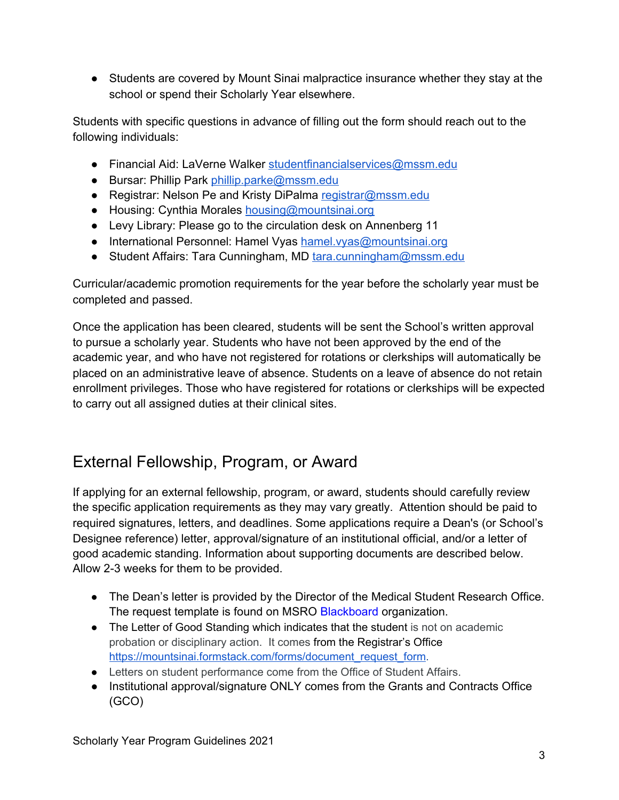● Students are covered by Mount Sinai malpractice insurance whether they stay at the school or spend their Scholarly Year elsewhere.

Students with specific questions in advance of filling out the form should reach out to the following individuals:

- Financial Aid: LaVerne Walker [studentfinancialservices@mssm.edu](mailto:studentfinancialservices@mssm.edu)
- Bursar: Phillip Park [phillip.parke@mssm.edu](mailto:phillip.parke@mssm.edu)
- Registrar: Nelson Pe and Kristy DiPalma [registrar@mssm.edu](mailto:registrar@mssm.edu)
- Housing: Cynthia Morales [housing@mountsinai.org](mailto:housing@mountsinai.org)
- Levy Library: Please go to the circulation desk on Annenberg 11
- International Personnel: Hamel Vyas [hamel.vyas@mountsinai.org](mailto:hamel.vyas@mountsinai.org)
- Student Affairs: Tara Cunningham, MD [tara.cunningham@mssm.edu](mailto:tara.cunningham@mssm.edu)

Curricular/academic promotion requirements for the year before the scholarly year must be completed and passed.

Once the application has been cleared, students will be sent the School's written approval to pursue a scholarly year. Students who have not been approved by the end of the academic year, and who have not registered for rotations or clerkships will automatically be placed on an administrative leave of absence. Students on a leave of absence do not retain enrollment privileges. Those who have registered for rotations or clerkships will be expected to carry out all assigned duties at their clinical sites.

#### <span id="page-2-0"></span>External Fellowship, Program, or Award

If applying for an external fellowship, program, or award, students should carefully review the specific application requirements as they may vary greatly. Attention should be paid to required signatures, letters, and deadlines. Some applications require a Dean's (or School's Designee reference) letter, approval/signature of an institutional official, and/or a letter of good academic standing. Information about supporting documents are described below. Allow 2-3 weeks for them to be provided.

- The Dean's letter is provided by the Director of the Medical Student Research Office. The request template is found on MSRO Blackboard organization.
- The Letter of Good Standing which indicates that the student is not on academic probation or disciplinary action. It comes from the Registrar's Office [https://mountsinai.formstack.com/forms/document\\_request\\_form.](https://mountsinai.formstack.com/forms/document_request_form)
- Letters on student performance come from the Office of Student Affairs.
- Institutional approval/signature ONLY comes from the Grants and Contracts Office (GCO)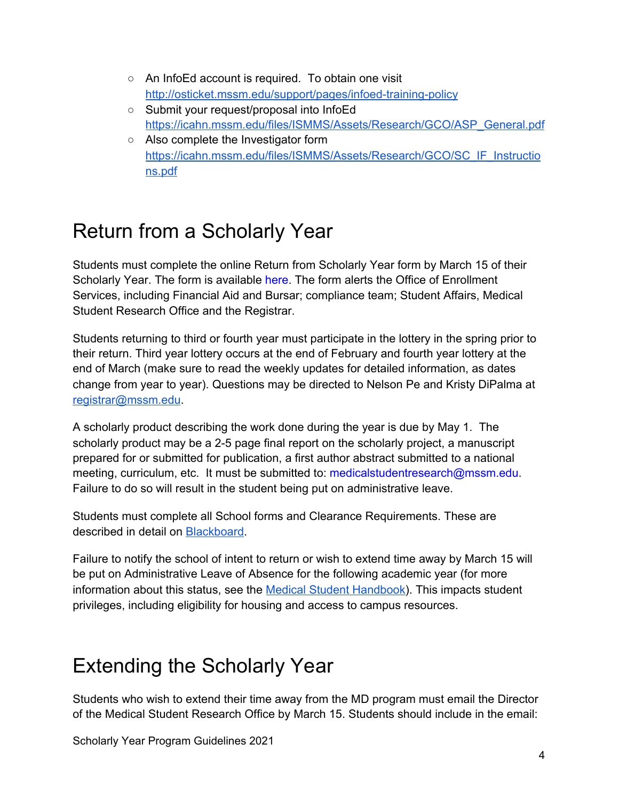- An InfoEd account is required. To obtain one visit <http://osticket.mssm.edu/support/pages/infoed-training-policy>
- Submit your request/proposal into InfoEd [https://icahn.mssm.edu/files/ISMMS/Assets/Research/GCO/ASP\\_General.pdf](https://icahn.mssm.edu/files/ISMMS/Assets/Research/GCO/ASP_General.pdf)
- Also complete the Investigator form [https://icahn.mssm.edu/files/ISMMS/Assets/Research/GCO/SC\\_IF\\_Instructio](https://icahn.mssm.edu/files/ISMMS/Assets/Research/GCO/SC_IF_Instructions.pdf) [ns.pdf](https://icahn.mssm.edu/files/ISMMS/Assets/Research/GCO/SC_IF_Instructions.pdf)

### <span id="page-3-0"></span>Return from a Scholarly Year

Students must complete the online Return from Scholarly Year form by March 15 of their Scholarly Year. The form is available here. The form alerts the Office of Enrollment Services, including Financial Aid and Bursar; compliance team; Student Affairs, Medical Student Research Office and the Registrar.

Students returning to third or fourth year must participate in the lottery in the spring prior to their return. Third year lottery occurs at the end of February and fourth year lottery at the end of March (make sure to read the weekly updates for detailed information, as dates change from year to year). Questions may be directed to Nelson Pe and Kristy DiPalma at [registrar@mssm.edu](mailto:registrar@mssm.edu).

A scholarly product describing the work done during the year is due by May 1. The scholarly product may be a 2-5 page final report on the scholarly project, a manuscript prepared for or submitted for publication, a first author abstract submitted to a national meeting, curriculum, etc. It must be submitted to: medicalstudentresearch@mssm.edu. Failure to do so will result in the student being put on administrative leave.

Students must complete all School forms and Clearance Requirements. These are described in detail on [Blackboard.](https://learn.mssm.edu/webapps/blackboard/content/listContent.jsp?course_id=_3784_1&content_id=_222360_1)

Failure to notify the school of intent to return or wish to extend time away by March 15 will be put on Administrative Leave of Absence for the following academic year (for more information about this status, see the Medical Student [Handbook](https://icahn.mssm.edu/education/students/handbook/life-events)). This impacts student privileges, including eligibility for housing and access to campus resources.

## <span id="page-3-1"></span>Extending the Scholarly Year

Students who wish to extend their time away from the MD program must email the Director of the Medical Student Research Office by March 15. Students should include in the email:

Scholarly Year Program Guidelines 2021